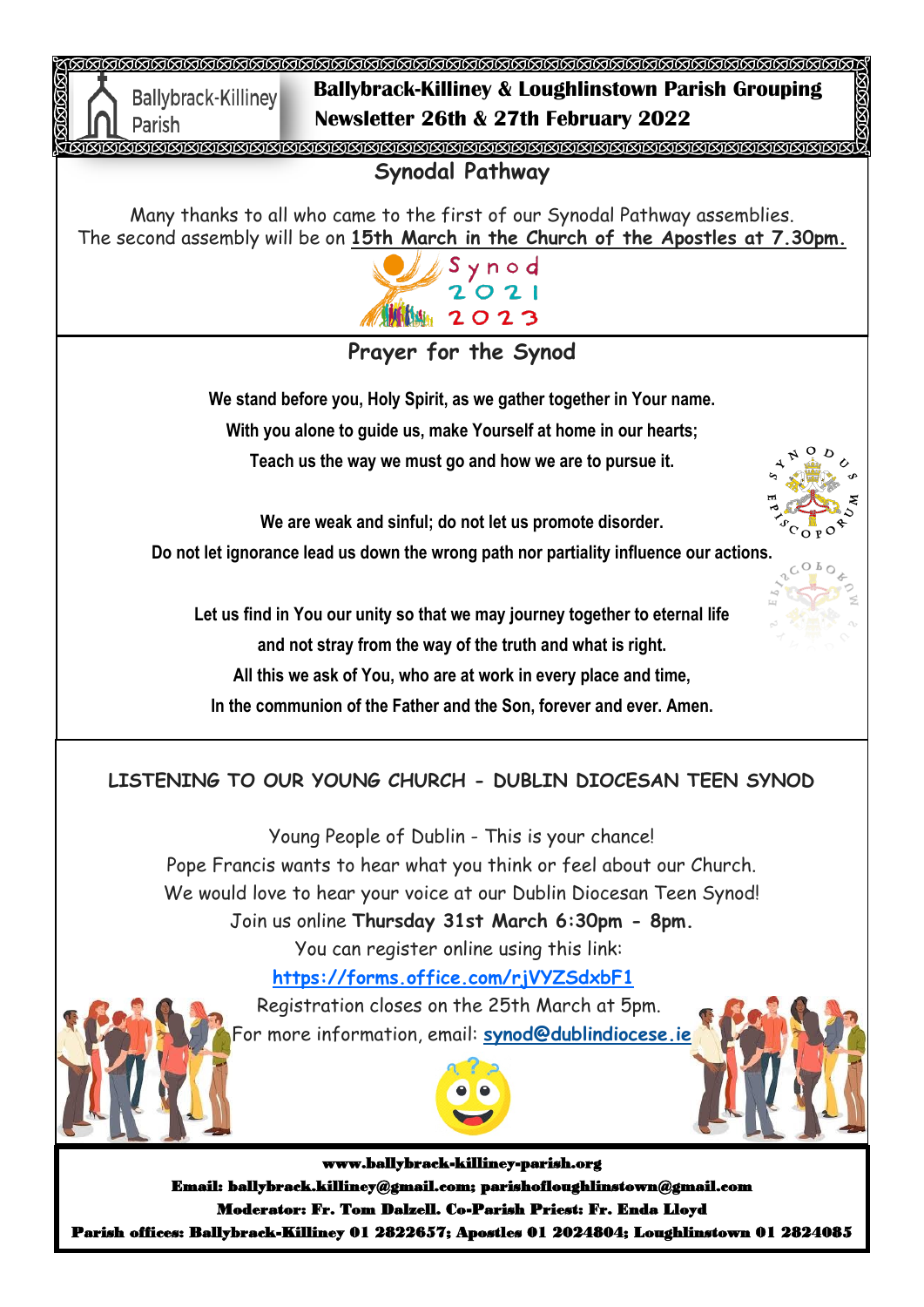